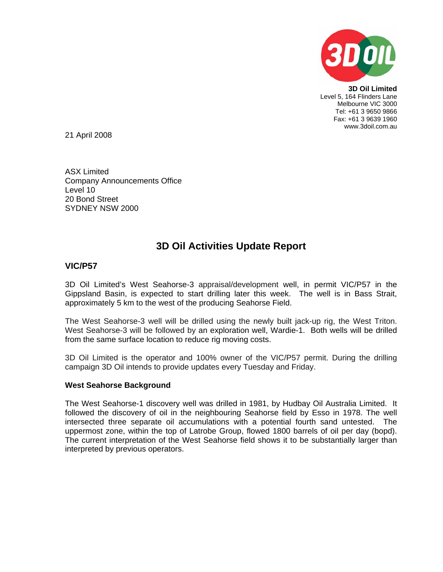

**3D Oil Limited**  Level 5, 164 Flinders Lane Melbourne VIC 3000 Tel: +61 3 9650 9866 Fax: +61 3 9639 1960 www.3doil.com.au

21 April 2008

ASX Limited Company Announcements Office Level 10 20 Bond Street SYDNEY NSW 2000

# **3D Oil Activities Update Report**

## **VIC/P57**

3D Oil Limited's West Seahorse-3 appraisal/development well, in permit VIC/P57 in the Gippsland Basin, is expected to start drilling later this week. The well is in Bass Strait, approximately 5 km to the west of the producing Seahorse Field.

The West Seahorse-3 well will be drilled using the newly built jack-up rig, the West Triton. West Seahorse-3 will be followed by an exploration well, Wardie-1. Both wells will be drilled from the same surface location to reduce rig moving costs.

3D Oil Limited is the operator and 100% owner of the VIC/P57 permit. During the drilling campaign 3D Oil intends to provide updates every Tuesday and Friday.

### **West Seahorse Background**

The West Seahorse-1 discovery well was drilled in 1981, by Hudbay Oil Australia Limited. It followed the discovery of oil in the neighbouring Seahorse field by Esso in 1978. The well intersected three separate oil accumulations with a potential fourth sand untested. The uppermost zone, within the top of Latrobe Group, flowed 1800 barrels of oil per day (bopd). The current interpretation of the West Seahorse field shows it to be substantially larger than interpreted by previous operators.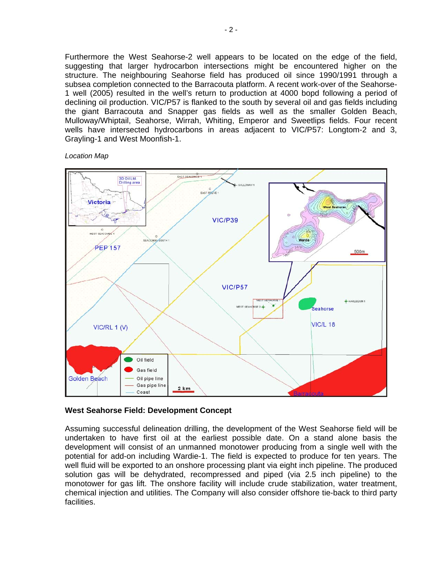Furthermore the West Seahorse-2 well appears to be located on the edge of the field, suggesting that larger hydrocarbon intersections might be encountered higher on the structure. The neighbouring Seahorse field has produced oil since 1990/1991 through a subsea completion connected to the Barracouta platform. A recent work-over of the Seahorse-1 well (2005) resulted in the well's return to production at 4000 bopd following a period of declining oil production. VIC/P57 is flanked to the south by several oil and gas fields including the giant Barracouta and Snapper gas fields as well as the smaller Golden Beach, Mulloway/Whiptail, Seahorse, Wirrah, Whiting, Emperor and Sweetlips fields. Four recent wells have intersected hydrocarbons in areas adjacent to VIC/P57: Longtom-2 and 3, Grayling-1 and West Moonfish-1.

*Location Map* 



#### **West Seahorse Field: Development Concept**

Assuming successful delineation drilling, the development of the West Seahorse field will be undertaken to have first oil at the earliest possible date. On a stand alone basis the development will consist of an unmanned monotower producing from a single well with the potential for add-on including Wardie-1. The field is expected to produce for ten years. The well fluid will be exported to an onshore processing plant via eight inch pipeline. The produced solution gas will be dehydrated, recompressed and piped (via 2.5 inch pipeline) to the monotower for gas lift. The onshore facility will include crude stabilization, water treatment, chemical injection and utilities. The Company will also consider offshore tie-back to third party facilities.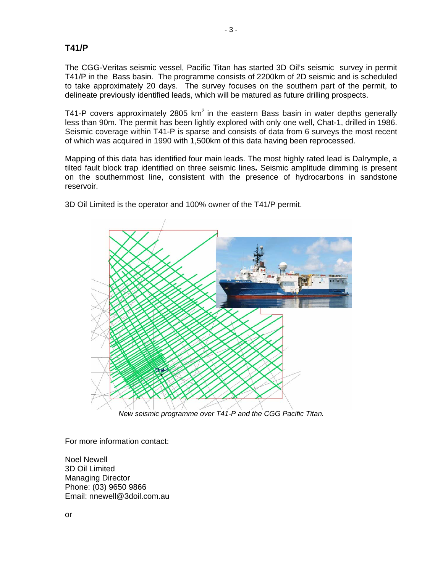## **T41/P**

The CGG-Veritas seismic vessel, Pacific Titan has started 3D Oil's seismic survey in permit T41/P in the Bass basin. The programme consists of 2200km of 2D seismic and is scheduled to take approximately 20 days. The survey focuses on the southern part of the permit, to delineate previously identified leads, which will be matured as future drilling prospects.

T41-P covers approximately 2805 km<sup>2</sup> in the eastern Bass basin in water depths generally less than 90m. The permit has been lightly explored with only one well, Chat-1, drilled in 1986. Seismic coverage within T41-P is sparse and consists of data from 6 surveys the most recent of which was acquired in 1990 with 1,500km of this data having been reprocessed.

Mapping of this data has identified four main leads. The most highly rated lead is Dalrymple, a tilted fault block trap identified on three seismic lines**.** Seismic amplitude dimming is present on the southernmost line, consistent with the presence of hydrocarbons in sandstone reservoir.



3D Oil Limited is the operator and 100% owner of the T41/P permit.

*New seismic programme over T41-P and the CGG Pacific Titan.*

For more information contact:

Noel Newell 3D Oil Limited Managing Director Phone: (03) 9650 9866 Email: nnewell@3doil.com.au